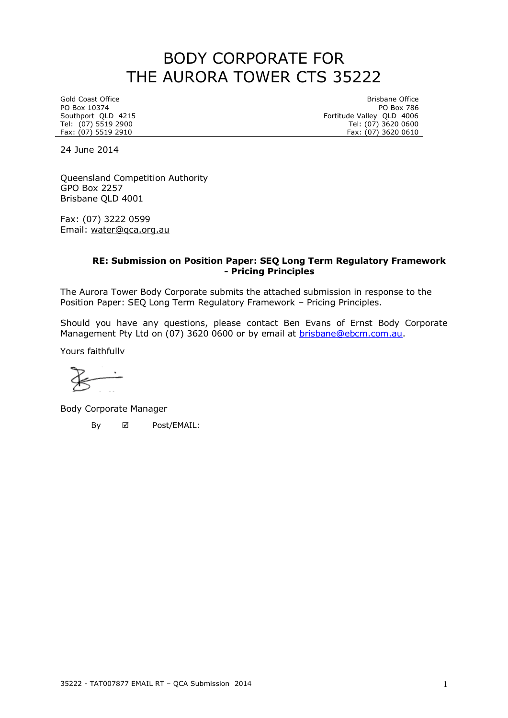# BODY CORPORATE FOR THE AURORA TOWER CTS 35222

PO Box 10374<br>Southport QLD 4215

Gold Coast Office Brisbane Office Brisbane Office Brisbane Office Brisbane Office Brisbane Office Brisbane Office Brisbane Office Brisbane Office Brisbane Office Brisbane Office Brisbane Office Brisbane Distribution Brisba Southport QLD 4215 **Fortitude Valley QLD** 4006 Tel: (07) 5519 2900 Tel: (07) 3620 0600 Fax: (07) 5519 2910 Fax: (07) 3620 0610

24 June 2014

Queensland Competition Authority GPO Box 2257 Brisbane QLD 4001

Fax: (07) 3222 0599 Email: [water@qca.org.au](mailto:water@qca.org.au)

### **RE: Submission on Position Paper: SEQ Long Term Regulatory Framework - Pricing Principles**

The Aurora Tower Body Corporate submits the attached submission in response to the Position Paper: SEQ Long Term Regulatory Framework – Pricing Principles.

Should you have any questions, please contact Ben Evans of Ernst Body Corporate Management Pty Ltd on (07) 3620 0600 or by email at **brisbane@ebcm.com.au.** 

Yours faithfully

Body Corporate Manager

By **Ø** Post/EMAIL: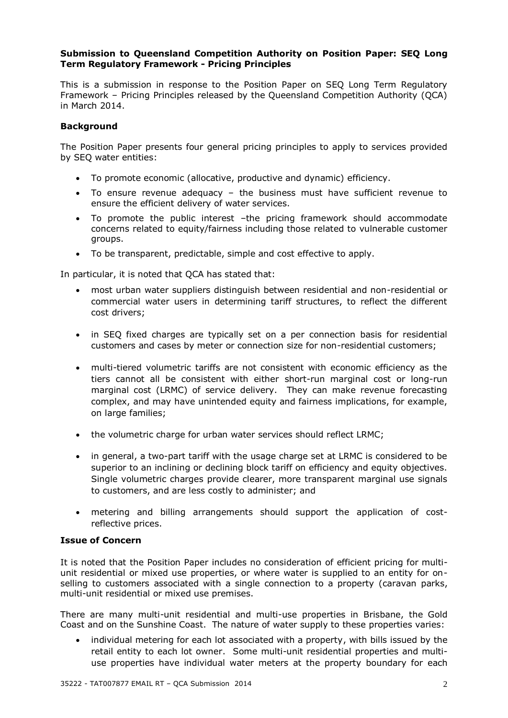### **Submission to Queensland Competition Authority on Position Paper: SEQ Long Term Regulatory Framework - Pricing Principles**

This is a submission in response to the Position Paper on SEQ Long Term Regulatory Framework – Pricing Principles released by the Queensland Competition Authority (QCA) in March 2014.

## **Background**

The Position Paper presents four general pricing principles to apply to services provided by SEQ water entities:

- To promote economic (allocative, productive and dynamic) efficiency.
- To ensure revenue adequacy the business must have sufficient revenue to ensure the efficient delivery of water services.
- To promote the public interest –the pricing framework should accommodate concerns related to equity/fairness including those related to vulnerable customer groups.
- To be transparent, predictable, simple and cost effective to apply.

In particular, it is noted that QCA has stated that:

- most urban water suppliers distinguish between residential and non-residential or commercial water users in determining tariff structures, to reflect the different cost drivers;
- in SEQ fixed charges are typically set on a per connection basis for residential customers and cases by meter or connection size for non-residential customers;
- multi-tiered volumetric tariffs are not consistent with economic efficiency as the tiers cannot all be consistent with either short-run marginal cost or long-run marginal cost (LRMC) of service delivery. They can make revenue forecasting complex, and may have unintended equity and fairness implications, for example, on large families;
- the volumetric charge for urban water services should reflect LRMC;
- in general, a two-part tariff with the usage charge set at LRMC is considered to be superior to an inclining or declining block tariff on efficiency and equity objectives. Single volumetric charges provide clearer, more transparent marginal use signals to customers, and are less costly to administer; and
- metering and billing arrangements should support the application of costreflective prices.

# **Issue of Concern**

It is noted that the Position Paper includes no consideration of efficient pricing for multiunit residential or mixed use properties, or where water is supplied to an entity for onselling to customers associated with a single connection to a property (caravan parks, multi-unit residential or mixed use premises.

There are many multi-unit residential and multi-use properties in Brisbane, the Gold Coast and on the Sunshine Coast. The nature of water supply to these properties varies:

 individual metering for each lot associated with a property, with bills issued by the retail entity to each lot owner. Some multi-unit residential properties and multiuse properties have individual water meters at the property boundary for each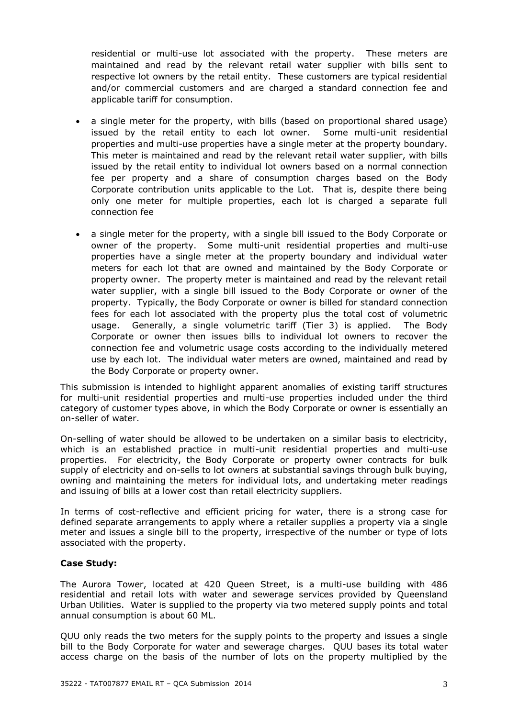residential or multi-use lot associated with the property. These meters are maintained and read by the relevant retail water supplier with bills sent to respective lot owners by the retail entity. These customers are typical residential and/or commercial customers and are charged a standard connection fee and applicable tariff for consumption.

- a single meter for the property, with bills (based on proportional shared usage) issued by the retail entity to each lot owner. Some multi-unit residential properties and multi-use properties have a single meter at the property boundary. This meter is maintained and read by the relevant retail water supplier, with bills issued by the retail entity to individual lot owners based on a normal connection fee per property and a share of consumption charges based on the Body Corporate contribution units applicable to the Lot. That is, despite there being only one meter for multiple properties, each lot is charged a separate full connection fee
- a single meter for the property, with a single bill issued to the Body Corporate or owner of the property. Some multi-unit residential properties and multi-use properties have a single meter at the property boundary and individual water meters for each lot that are owned and maintained by the Body Corporate or property owner. The property meter is maintained and read by the relevant retail water supplier, with a single bill issued to the Body Corporate or owner of the property. Typically, the Body Corporate or owner is billed for standard connection fees for each lot associated with the property plus the total cost of volumetric usage. Generally, a single volumetric tariff (Tier 3) is applied. The Body Corporate or owner then issues bills to individual lot owners to recover the connection fee and volumetric usage costs according to the individually metered use by each lot. The individual water meters are owned, maintained and read by the Body Corporate or property owner.

This submission is intended to highlight apparent anomalies of existing tariff structures for multi-unit residential properties and multi-use properties included under the third category of customer types above, in which the Body Corporate or owner is essentially an on-seller of water.

On-selling of water should be allowed to be undertaken on a similar basis to electricity, which is an established practice in multi-unit residential properties and multi-use properties. For electricity, the Body Corporate or property owner contracts for bulk supply of electricity and on-sells to lot owners at substantial savings through bulk buying, owning and maintaining the meters for individual lots, and undertaking meter readings and issuing of bills at a lower cost than retail electricity suppliers.

In terms of cost-reflective and efficient pricing for water, there is a strong case for defined separate arrangements to apply where a retailer supplies a property via a single meter and issues a single bill to the property, irrespective of the number or type of lots associated with the property.

# **Case Study:**

The Aurora Tower, located at 420 Queen Street, is a multi-use building with 486 residential and retail lots with water and sewerage services provided by Queensland Urban Utilities. Water is supplied to the property via two metered supply points and total annual consumption is about 60 ML.

QUU only reads the two meters for the supply points to the property and issues a single bill to the Body Corporate for water and sewerage charges. QUU bases its total water access charge on the basis of the number of lots on the property multiplied by the